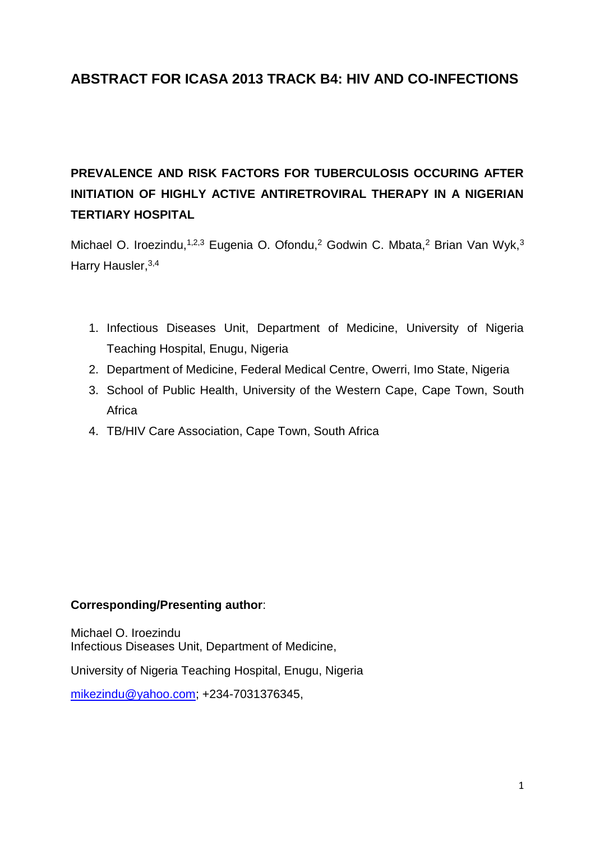## **ABSTRACT FOR ICASA 2013 TRACK B4: HIV AND CO-INFECTIONS**

## **PREVALENCE AND RISK FACTORS FOR TUBERCULOSIS OCCURING AFTER INITIATION OF HIGHLY ACTIVE ANTIRETROVIRAL THERAPY IN A NIGERIAN TERTIARY HOSPITAL**

Michael O. Iroezindu,<sup>1,2,3</sup> Eugenia O. Ofondu,<sup>2</sup> Godwin C. Mbata,<sup>2</sup> Brian Van Wyk,<sup>3</sup> Harry Hausler, 3,4

- 1. Infectious Diseases Unit, Department of Medicine, University of Nigeria Teaching Hospital, Enugu, Nigeria
- 2. Department of Medicine, Federal Medical Centre, Owerri, Imo State, Nigeria
- 3. School of Public Health, University of the Western Cape, Cape Town, South **Africa**
- 4. TB/HIV Care Association, Cape Town, South Africa

## **Corresponding/Presenting author**:

Michael O. Iroezindu Infectious Diseases Unit, Department of Medicine,

University of Nigeria Teaching Hospital, Enugu, Nigeria

[mikezindu@yahoo.com;](mailto:mikezindu@yahoo.com) +234-7031376345,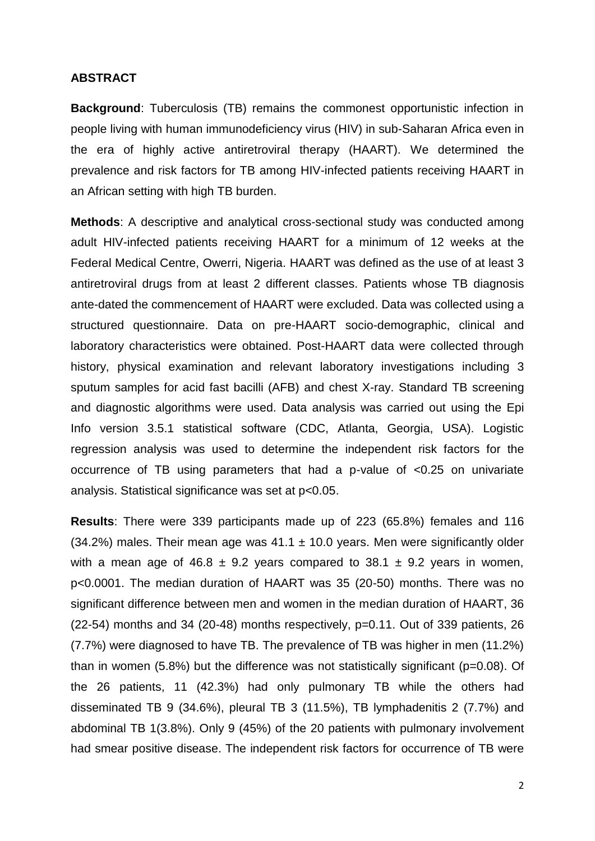## **ABSTRACT**

**Background**: Tuberculosis (TB) remains the commonest opportunistic infection in people living with human immunodeficiency virus (HIV) in sub-Saharan Africa even in the era of highly active antiretroviral therapy (HAART). We determined the prevalence and risk factors for TB among HIV-infected patients receiving HAART in an African setting with high TB burden.

**Methods**: A descriptive and analytical cross-sectional study was conducted among adult HIV-infected patients receiving HAART for a minimum of 12 weeks at the Federal Medical Centre, Owerri, Nigeria. HAART was defined as the use of at least 3 antiretroviral drugs from at least 2 different classes. Patients whose TB diagnosis ante-dated the commencement of HAART were excluded. Data was collected using a structured questionnaire. Data on pre-HAART socio-demographic, clinical and laboratory characteristics were obtained. Post-HAART data were collected through history, physical examination and relevant laboratory investigations including 3 sputum samples for acid fast bacilli (AFB) and chest X-ray. Standard TB screening and diagnostic algorithms were used. Data analysis was carried out using the Epi Info version 3.5.1 statistical software (CDC, Atlanta, Georgia, USA). Logistic regression analysis was used to determine the independent risk factors for the occurrence of TB using parameters that had a p-value of <0.25 on univariate analysis. Statistical significance was set at p<0.05.

**Results**: There were 339 participants made up of 223 (65.8%) females and 116 (34.2%) males. Their mean age was  $41.1 \pm 10.0$  years. Men were significantly older with a mean age of 46.8  $\pm$  9.2 years compared to 38.1  $\pm$  9.2 years in women, p<0.0001. The median duration of HAART was 35 (20-50) months. There was no significant difference between men and women in the median duration of HAART, 36 (22-54) months and 34 (20-48) months respectively, p=0.11. Out of 339 patients, 26 (7.7%) were diagnosed to have TB. The prevalence of TB was higher in men (11.2%) than in women (5.8%) but the difference was not statistically significant (p=0.08). Of the 26 patients, 11 (42.3%) had only pulmonary TB while the others had disseminated TB 9 (34.6%), pleural TB 3 (11.5%), TB lymphadenitis 2 (7.7%) and abdominal TB 1(3.8%). Only 9 (45%) of the 20 patients with pulmonary involvement had smear positive disease. The independent risk factors for occurrence of TB were